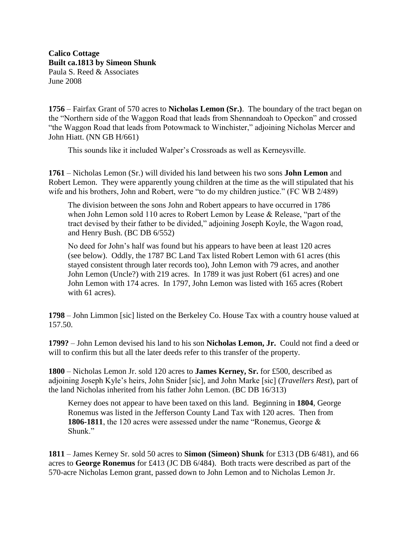**Calico Cottage Built ca.1813 by Simeon Shunk** Paula S. Reed & Associates June 2008

**1756** – Fairfax Grant of 570 acres to **Nicholas Lemon (Sr.)**. The boundary of the tract began on the "Northern side of the Waggon Road that leads from Shennandoah to Opeckon" and crossed "the Waggon Road that leads from Potowmack to Winchister," adjoining Nicholas Mercer and John Hiatt. (NN GB H/661)

This sounds like it included Walper's Crossroads as well as Kerneysville.

**1761** – Nicholas Lemon (Sr.) will divided his land between his two sons **John Lemon** and Robert Lemon. They were apparently young children at the time as the will stipulated that his wife and his brothers, John and Robert, were "to do my children justice." (FC WB 2/489)

The division between the sons John and Robert appears to have occurred in 1786 when John Lemon sold 110 acres to Robert Lemon by Lease & Release, "part of the tract devised by their father to be divided," adjoining Joseph Koyle, the Wagon road, and Henry Bush. (BC DB 6/552)

No deed for John's half was found but his appears to have been at least 120 acres (see below). Oddly, the 1787 BC Land Tax listed Robert Lemon with 61 acres (this stayed consistent through later records too), John Lemon with 79 acres, and another John Lemon (Uncle?) with 219 acres. In 1789 it was just Robert (61 acres) and one John Lemon with 174 acres. In 1797, John Lemon was listed with 165 acres (Robert with 61 acres).

**1798** – John Limmon [sic] listed on the Berkeley Co. House Tax with a country house valued at 157.50.

**1799?** – John Lemon devised his land to his son **Nicholas Lemon, Jr.** Could not find a deed or will to confirm this but all the later deeds refer to this transfer of the property.

**1800** – Nicholas Lemon Jr. sold 120 acres to **James Kerney, Sr.** for £500, described as adjoining Joseph Kyle's heirs, John Snider [sic], and John Marke [sic] (*Travellers Rest*), part of the land Nicholas inherited from his father John Lemon. (BC DB 16/313)

Kerney does not appear to have been taxed on this land. Beginning in **1804**, George Ronemus was listed in the Jefferson County Land Tax with 120 acres. Then from **1806-1811**, the 120 acres were assessed under the name "Ronemus, George & Shunk."

**1811** – James Kerney Sr. sold 50 acres to **Simon (Simeon) Shunk** for £313 (DB 6/481), and 66 acres to **George Ronemus** for £413 (JC DB 6/484). Both tracts were described as part of the 570-acre Nicholas Lemon grant, passed down to John Lemon and to Nicholas Lemon Jr.